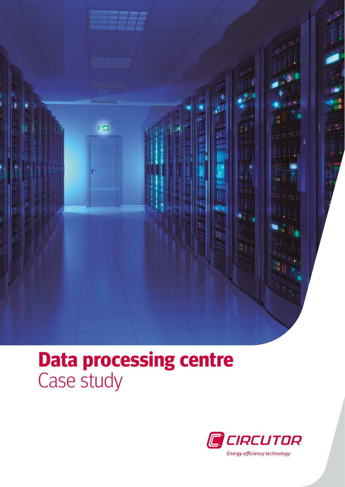

## **Data processing centre** Case study

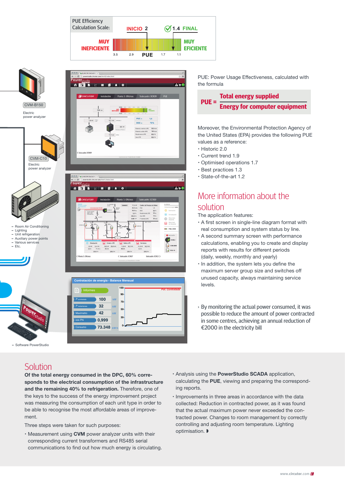





**kW**

**0,999 73.348** **30- 0-**

**kW·h**

PUE: Power Usage Effectiveness, calculated with the formula



Moreover, the Environmental Protection Agency of the United States (EPA) provides the following PUE values as a reference:

- Historic 2.0
- Current trend 1.9
- Optimised operations 1.7
- Best practices 1.3
- State-of-the-art 1.2

## More information about the solution

The application features:

- A first screen in single-line diagram format with real consumption and system status by line.
- A second summary screen with performance calculations, enabling you to create and display reports with results for different periods (daily, weekly, monthly and yearly)
- $\cdot$  In addition, the system lets you define the maximum server group size and switches off unused capacity, always maintaining service levels.
- › By monitoring the actual power consumed, it was possible to reduce the amount of power contracted in some centres, achieving an annual reduction of €2000 in the electricity bill

## **Solution**

– Software PowerStudio

Of the total energy consumed in the DPC, 60% corresponds to the electrical consumption of the infrastructure and the remaining 40% to refrigeration. Therefore, one of the keys to the success of the energy improvement project was measuring the consumption of each unit type in order to be able to recognise the most affordable areas of improvement.

Three steps were taken for such purposes:

- $\cdot$  Measurement using CVM power analyzer units with their corresponding current transformers and RS485 serial communications to find out how much energy is circulating.
- Analysis using the PowerStudio SCADA application, calculating the PUE, viewing and preparing the corresponding reports.
- $\cdot$  Improvements in three areas in accordance with the data collected: Reduction in contracted power, as it was found that the actual maximum power never exceeded the contracted power. Changes to room management by correctly controlling and adjusting room temperature. Lighting optimisation. »